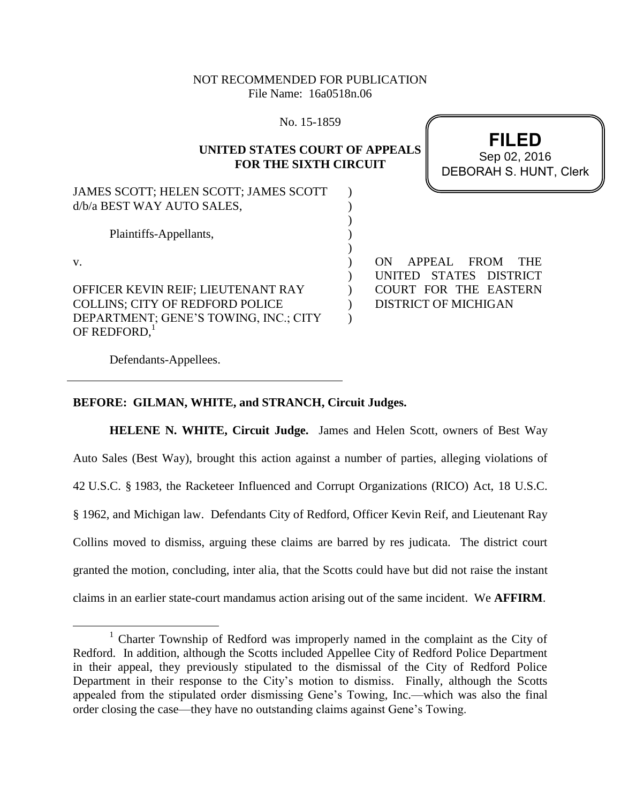# NOT RECOMMENDED FOR PUBLICATION File Name: 16a0518n.06

No. 15-1859

## **UNITED STATES COURT OF APPEALS FOR THE SIXTH CIRCUIT**

) )  $\overline{)}$ ) ) )  $\lambda$  $\lambda$  $\lambda$  $\lambda$ 

JAMES SCOTT; HELEN SCOTT; JAMES SCOTT d/b/a BEST WAY AUTO SALES,

Plaintiffs-Appellants,

v.

 $\overline{a}$ 

OFFICER KEVIN REIF; LIEUTENANT RAY COLLINS; CITY OF REDFORD POLICE DEPARTMENT; GENE'S TOWING, INC.; CITY OF REDFORD, $^1$ 

ON APPEAL FROM THE UNITED STATES DISTRICT COURT FOR THE EASTERN DISTRICT OF MICHIGAN

Defendants-Appellees.

# **BEFORE: GILMAN, WHITE, and STRANCH, Circuit Judges.**

**HELENE N. WHITE, Circuit Judge.** James and Helen Scott, owners of Best Way Auto Sales (Best Way), brought this action against a number of parties, alleging violations of 42 U.S.C. § 1983, the Racketeer Influenced and Corrupt Organizations (RICO) Act, 18 U.S.C. § 1962, and Michigan law. Defendants City of Redford, Officer Kevin Reif, and Lieutenant Ray Collins moved to dismiss, arguing these claims are barred by res judicata. The district court granted the motion, concluding, inter alia, that the Scotts could have but did not raise the instant claims in an earlier state-court mandamus action arising out of the same incident. We **AFFIRM**.

**FILED** DEBORAH S. HUNT, Clerk Sep 02, 2016

<sup>&</sup>lt;sup>1</sup> Charter Township of Redford was improperly named in the complaint as the City of Redford. In addition, although the Scotts included Appellee City of Redford Police Department in their appeal, they previously stipulated to the dismissal of the City of Redford Police Department in their response to the City's motion to dismiss. Finally, although the Scotts appealed from the stipulated order dismissing Gene's Towing, Inc.—which was also the final order closing the case—they have no outstanding claims against Gene's Towing.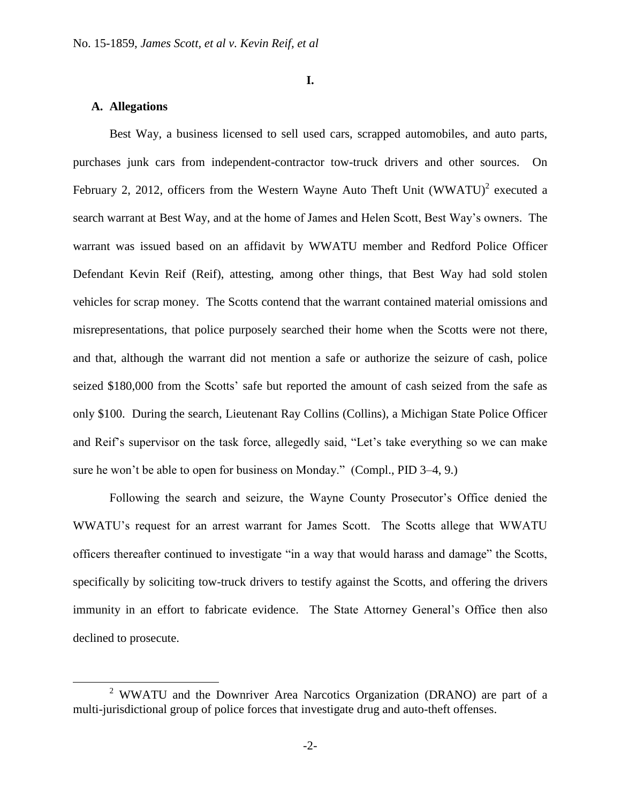**I.**

## **A. Allegations**

 $\overline{a}$ 

Best Way, a business licensed to sell used cars, scrapped automobiles, and auto parts, purchases junk cars from independent-contractor tow-truck drivers and other sources. On February 2, 2012, officers from the Western Wayne Auto Theft Unit  $(WWATU)^2$  executed a search warrant at Best Way, and at the home of James and Helen Scott, Best Way's owners. The warrant was issued based on an affidavit by WWATU member and Redford Police Officer Defendant Kevin Reif (Reif), attesting, among other things, that Best Way had sold stolen vehicles for scrap money. The Scotts contend that the warrant contained material omissions and misrepresentations, that police purposely searched their home when the Scotts were not there, and that, although the warrant did not mention a safe or authorize the seizure of cash, police seized \$180,000 from the Scotts' safe but reported the amount of cash seized from the safe as only \$100. During the search, Lieutenant Ray Collins (Collins), a Michigan State Police Officer and Reif's supervisor on the task force, allegedly said, "Let's take everything so we can make sure he won't be able to open for business on Monday." (Compl., PID 3–4, 9.)

Following the search and seizure, the Wayne County Prosecutor's Office denied the WWATU's request for an arrest warrant for James Scott. The Scotts allege that WWATU officers thereafter continued to investigate "in a way that would harass and damage" the Scotts, specifically by soliciting tow-truck drivers to testify against the Scotts, and offering the drivers immunity in an effort to fabricate evidence. The State Attorney General's Office then also declined to prosecute.

<sup>2</sup> WWATU and the Downriver Area Narcotics Organization (DRANO) are part of a multi-jurisdictional group of police forces that investigate drug and auto-theft offenses.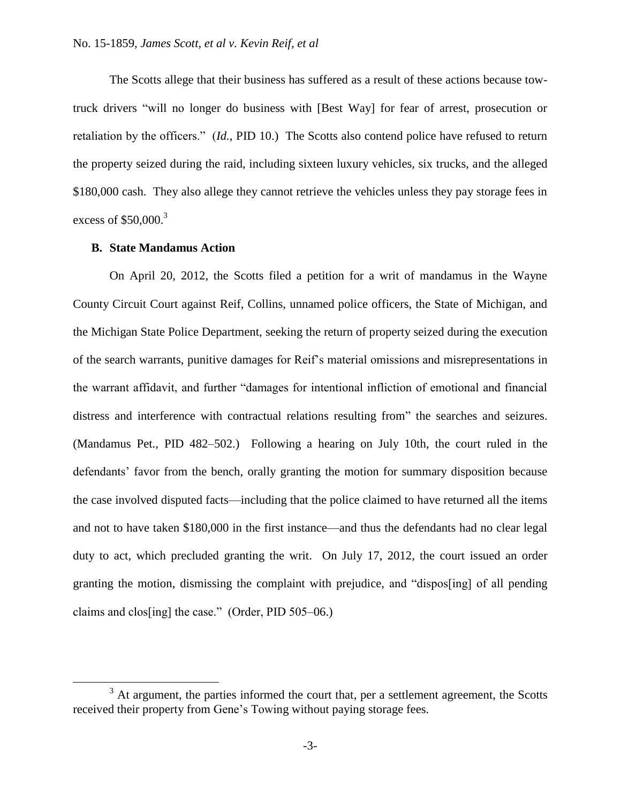The Scotts allege that their business has suffered as a result of these actions because towtruck drivers "will no longer do business with [Best Way] for fear of arrest, prosecution or retaliation by the officers." (*Id.*, PID 10.) The Scotts also contend police have refused to return the property seized during the raid, including sixteen luxury vehicles, six trucks, and the alleged \$180,000 cash. They also allege they cannot retrieve the vehicles unless they pay storage fees in excess of \$50,000.<sup>3</sup>

#### **B. State Mandamus Action**

 $\overline{a}$ 

On April 20, 2012, the Scotts filed a petition for a writ of mandamus in the Wayne County Circuit Court against Reif, Collins, unnamed police officers, the State of Michigan, and the Michigan State Police Department, seeking the return of property seized during the execution of the search warrants, punitive damages for Reif's material omissions and misrepresentations in the warrant affidavit, and further "damages for intentional infliction of emotional and financial distress and interference with contractual relations resulting from" the searches and seizures. (Mandamus Pet., PID 482–502.) Following a hearing on July 10th, the court ruled in the defendants' favor from the bench, orally granting the motion for summary disposition because the case involved disputed facts—including that the police claimed to have returned all the items and not to have taken \$180,000 in the first instance—and thus the defendants had no clear legal duty to act, which precluded granting the writ. On July 17, 2012, the court issued an order granting the motion, dismissing the complaint with prejudice, and "dispos[ing] of all pending claims and clos[ing] the case." (Order, PID 505–06.)

 $3$  At argument, the parties informed the court that, per a settlement agreement, the Scotts received their property from Gene's Towing without paying storage fees.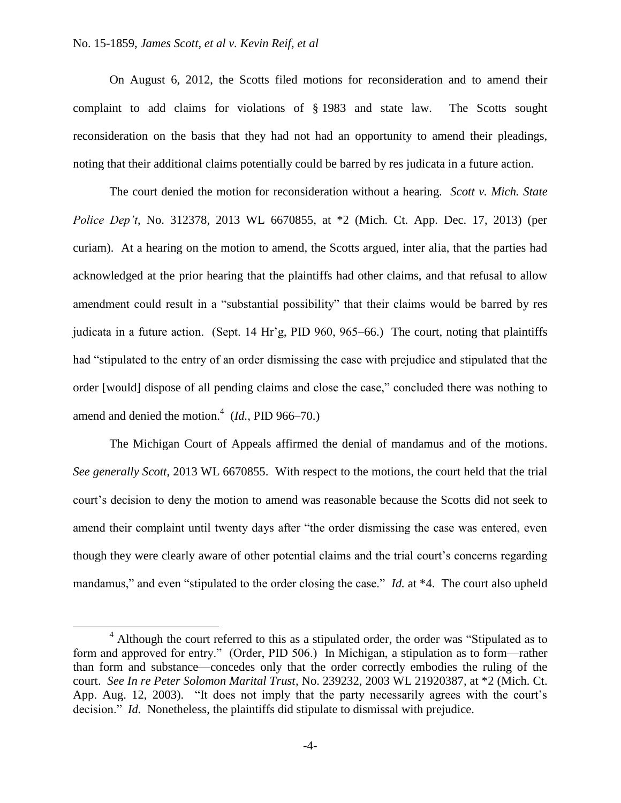$\overline{a}$ 

On August 6, 2012, the Scotts filed motions for reconsideration and to amend their complaint to add claims for violations of § 1983 and state law. The Scotts sought reconsideration on the basis that they had not had an opportunity to amend their pleadings, noting that their additional claims potentially could be barred by res judicata in a future action.

The court denied the motion for reconsideration without a hearing. *Scott v. Mich. State Police Dep't*, No. 312378, 2013 WL 6670855, at \*2 (Mich. Ct. App. Dec. 17, 2013) (per curiam). At a hearing on the motion to amend, the Scotts argued, inter alia, that the parties had acknowledged at the prior hearing that the plaintiffs had other claims, and that refusal to allow amendment could result in a "substantial possibility" that their claims would be barred by res judicata in a future action. (Sept. 14 Hr'g, PID 960, 965–66.) The court, noting that plaintiffs had "stipulated to the entry of an order dismissing the case with prejudice and stipulated that the order [would] dispose of all pending claims and close the case," concluded there was nothing to amend and denied the motion.<sup>4</sup>  $(Id., PID 966-70.)$ 

The Michigan Court of Appeals affirmed the denial of mandamus and of the motions. *See generally Scott*, 2013 WL 6670855. With respect to the motions, the court held that the trial court's decision to deny the motion to amend was reasonable because the Scotts did not seek to amend their complaint until twenty days after "the order dismissing the case was entered, even though they were clearly aware of other potential claims and the trial court's concerns regarding mandamus," and even "stipulated to the order closing the case." *Id.* at \*4. The court also upheld

<sup>&</sup>lt;sup>4</sup> Although the court referred to this as a stipulated order, the order was "Stipulated as to form and approved for entry." (Order, PID 506.) In Michigan, a stipulation as to form—rather than form and substance—concedes only that the order correctly embodies the ruling of the court. *See In re Peter Solomon Marital Trust*, No. 239232, 2003 WL 21920387, at \*2 (Mich. Ct. App. Aug. 12, 2003). "It does not imply that the party necessarily agrees with the court's decision." *Id.* Nonetheless, the plaintiffs did stipulate to dismissal with prejudice.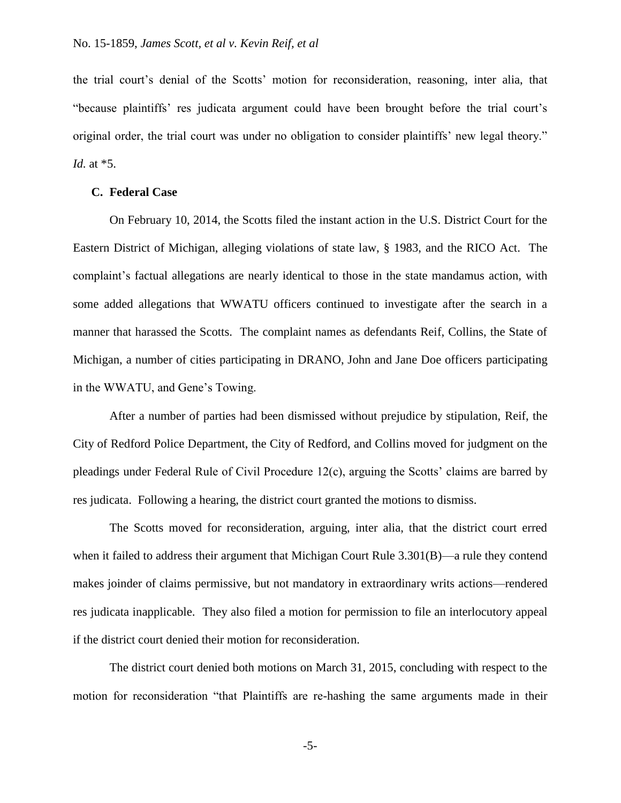the trial court's denial of the Scotts' motion for reconsideration, reasoning, inter alia, that "because plaintiffs' res judicata argument could have been brought before the trial court's original order, the trial court was under no obligation to consider plaintiffs' new legal theory." *Id.* at \*5.

#### **C. Federal Case**

On February 10, 2014, the Scotts filed the instant action in the U.S. District Court for the Eastern District of Michigan, alleging violations of state law, § 1983, and the RICO Act. The complaint's factual allegations are nearly identical to those in the state mandamus action, with some added allegations that WWATU officers continued to investigate after the search in a manner that harassed the Scotts. The complaint names as defendants Reif, Collins, the State of Michigan, a number of cities participating in DRANO, John and Jane Doe officers participating in the WWATU, and Gene's Towing.

After a number of parties had been dismissed without prejudice by stipulation, Reif, the City of Redford Police Department, the City of Redford, and Collins moved for judgment on the pleadings under Federal Rule of Civil Procedure 12(c), arguing the Scotts' claims are barred by res judicata. Following a hearing, the district court granted the motions to dismiss.

The Scotts moved for reconsideration, arguing, inter alia, that the district court erred when it failed to address their argument that Michigan Court Rule 3.301(B)—a rule they contend makes joinder of claims permissive, but not mandatory in extraordinary writs actions—rendered res judicata inapplicable. They also filed a motion for permission to file an interlocutory appeal if the district court denied their motion for reconsideration.

The district court denied both motions on March 31, 2015, concluding with respect to the motion for reconsideration "that Plaintiffs are re-hashing the same arguments made in their

-5-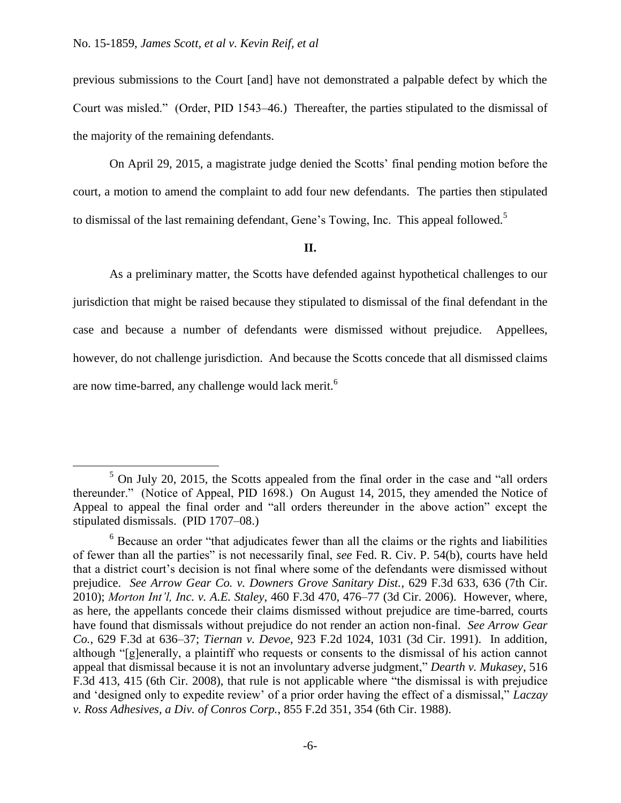$\overline{a}$ 

previous submissions to the Court [and] have not demonstrated a palpable defect by which the Court was misled." (Order, PID 1543–46.) Thereafter, the parties stipulated to the dismissal of the majority of the remaining defendants.

On April 29, 2015, a magistrate judge denied the Scotts' final pending motion before the court, a motion to amend the complaint to add four new defendants. The parties then stipulated to dismissal of the last remaining defendant, Gene's Towing, Inc. This appeal followed.<sup>5</sup>

#### **II.**

As a preliminary matter, the Scotts have defended against hypothetical challenges to our jurisdiction that might be raised because they stipulated to dismissal of the final defendant in the case and because a number of defendants were dismissed without prejudice. Appellees, however, do not challenge jurisdiction. And because the Scotts concede that all dismissed claims are now time-barred, any challenge would lack merit.<sup>6</sup>

 $5$  On July 20, 2015, the Scotts appealed from the final order in the case and "all orders" thereunder." (Notice of Appeal, PID 1698.)On August 14, 2015, they amended the Notice of Appeal to appeal the final order and "all orders thereunder in the above action" except the stipulated dismissals. (PID 1707–08.)

<sup>&</sup>lt;sup>6</sup> Because an order "that adjudicates fewer than all the claims or the rights and liabilities of fewer than all the parties" is not necessarily final, *see* Fed. R. Civ. P. 54(b), courts have held that a district court's decision is not final where some of the defendants were dismissed without prejudice. *See Arrow Gear Co. v. Downers Grove Sanitary Dist.*, 629 F.3d 633, 636 (7th Cir. 2010); *Morton Int'l, Inc. v. A.E. Staley*, 460 F.3d 470, 476–77 (3d Cir. 2006). However, where, as here, the appellants concede their claims dismissed without prejudice are time-barred, courts have found that dismissals without prejudice do not render an action non-final. *See Arrow Gear Co.*, 629 F.3d at 636–37; *Tiernan v. Devoe*, 923 F.2d 1024, 1031 (3d Cir. 1991). In addition, although "[g]enerally, a plaintiff who requests or consents to the dismissal of his action cannot appeal that dismissal because it is not an involuntary adverse judgment," *Dearth v. Mukasey*, 516 F.3d 413, 415 (6th Cir. 2008), that rule is not applicable where "the dismissal is with prejudice and 'designed only to expedite review' of a prior order having the effect of a dismissal," *Laczay v. Ross Adhesives, a Div. of Conros Corp.*, 855 F.2d 351, 354 (6th Cir. 1988).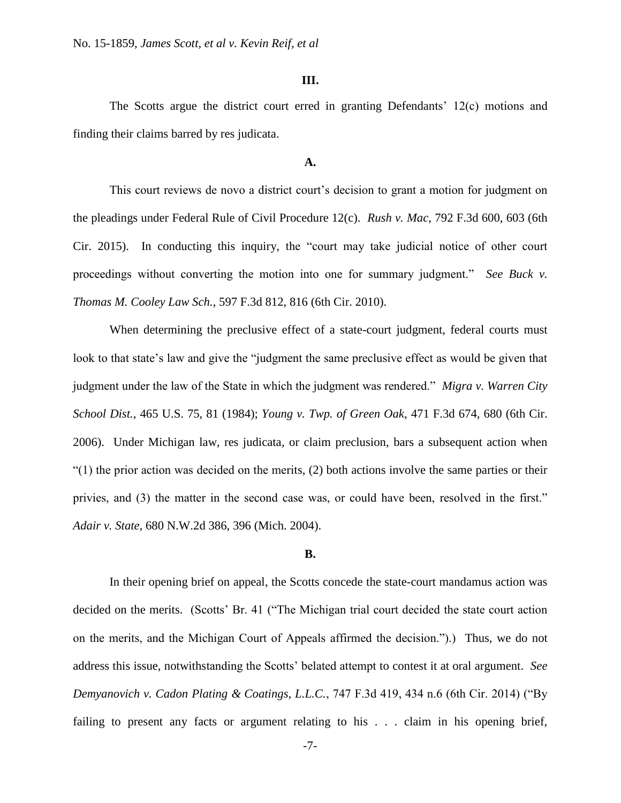### **III.**

The Scotts argue the district court erred in granting Defendants' 12(c) motions and finding their claims barred by res judicata.

## **A.**

This court reviews de novo a district court's decision to grant a motion for judgment on the pleadings under Federal Rule of Civil Procedure 12(c). *Rush v. Mac*, 792 F.3d 600, 603 (6th Cir. 2015). In conducting this inquiry, the "court may take judicial notice of other court proceedings without converting the motion into one for summary judgment." *See Buck v. Thomas M. Cooley Law Sch.*, 597 F.3d 812, 816 (6th Cir. 2010).

When determining the preclusive effect of a state-court judgment, federal courts must look to that state's law and give the "judgment the same preclusive effect as would be given that judgment under the law of the State in which the judgment was rendered." *Migra v. Warren City School Dist.*, 465 U.S. 75, 81 (1984); *Young v. Twp. of Green Oak*, 471 F.3d 674, 680 (6th Cir. 2006). Under Michigan law, res judicata, or claim preclusion, bars a subsequent action when "(1) the prior action was decided on the merits, (2) both actions involve the same parties or their privies, and (3) the matter in the second case was, or could have been, resolved in the first." *Adair v. State*, 680 N.W.2d 386, 396 (Mich. 2004).

#### **B.**

In their opening brief on appeal, the Scotts concede the state-court mandamus action was decided on the merits. (Scotts' Br. 41 ("The Michigan trial court decided the state court action on the merits, and the Michigan Court of Appeals affirmed the decision.").) Thus, we do not address this issue, notwithstanding the Scotts' belated attempt to contest it at oral argument. *See Demyanovich v. Cadon Plating & Coatings, L.L.C.*, 747 F.3d 419, 434 n.6 (6th Cir. 2014) ("By failing to present any facts or argument relating to his . . . claim in his opening brief,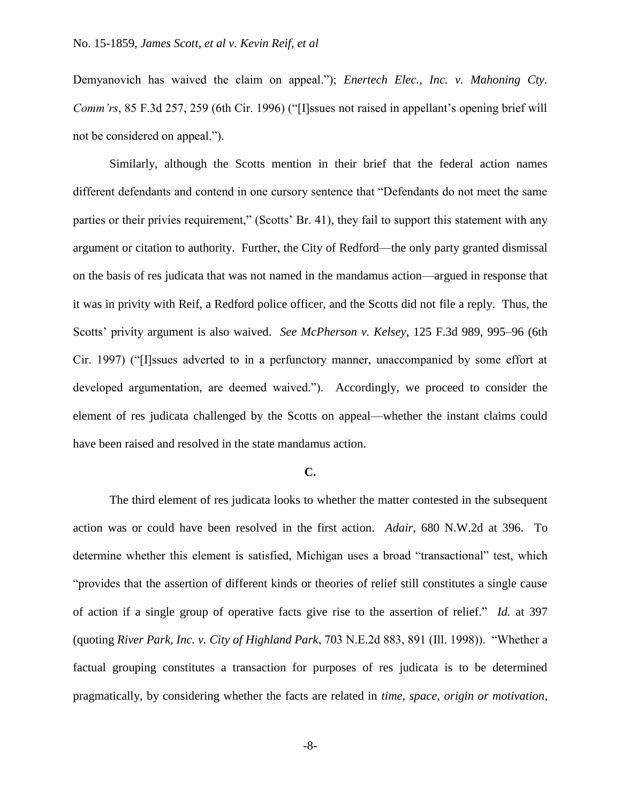Demyanovich has waived the claim on appeal."); *Enertech Elec., Inc. v. Mahoning Cty. Comm'rs*, 85 F.3d 257, 259 (6th Cir. 1996) ("Ilssues not raised in appellant's opening brief will not be considered on appeal.").

Similarly, although the Scotts mention in their brief that the federal action names different defendants and contend in one cursory sentence that "Defendants do not meet the same parties or their privies requirement," (Scotts' Br. 41), they fail to support this statement with any argument or citation to authority. Further, the City of Redford—the only party granted dismissal on the basis of res judicata that was not named in the mandamus action—argued in response that it was in privity with Reif, a Redford police officer, and the Scotts did not file a reply. Thus, the Scotts' privity argument is also waived. *See McPherson v. Kelsey*, 125 F.3d 989, 995–96 (6th Cir. 1997) ("[I]ssues adverted to in a perfunctory manner, unaccompanied by some effort at developed argumentation, are deemed waived."). Accordingly, we proceed to consider the element of res judicata challenged by the Scotts on appeal—whether the instant claims could have been raised and resolved in the state mandamus action.

### **C.**

The third element of res judicata looks to whether the matter contested in the subsequent action was or could have been resolved in the first action. *Adair*, 680 N.W.2d at 396. To determine whether this element is satisfied, Michigan uses a broad "transactional" test, which "provides that the assertion of different kinds or theories of relief still constitutes a single cause of action if a single group of operative facts give rise to the assertion of relief." *Id.* at 397 (quoting *River Park, Inc. v. City of Highland Park*, 703 N.E.2d 883, 891 (Ill. 1998)). "Whether a factual grouping constitutes a transaction for purposes of res judicata is to be determined pragmatically, by considering whether the facts are related in *time, space, origin or motivation*,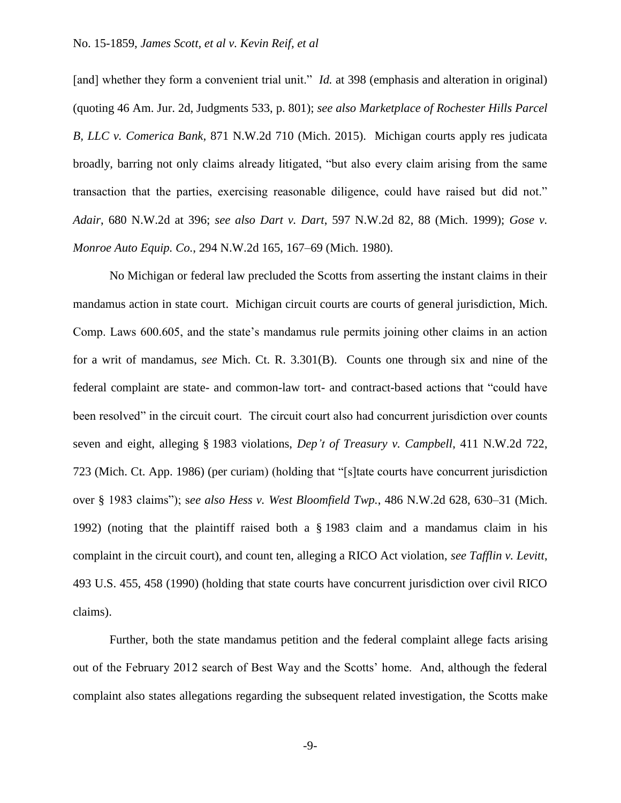[and] whether they form a convenient trial unit." *Id.* at 398 (emphasis and alteration in original) (quoting 46 Am. Jur. 2d, Judgments 533, p. 801); *see also Marketplace of Rochester Hills Parcel B, LLC v. Comerica Bank*, 871 N.W.2d 710 (Mich. 2015). Michigan courts apply res judicata broadly, barring not only claims already litigated, "but also every claim arising from the same transaction that the parties, exercising reasonable diligence, could have raised but did not." *Adair*, 680 N.W.2d at 396; *see also Dart v. Dart*, 597 N.W.2d 82, 88 (Mich. 1999); *Gose v. Monroe Auto Equip. Co.*, 294 N.W.2d 165, 167–69 (Mich. 1980).

No Michigan or federal law precluded the Scotts from asserting the instant claims in their mandamus action in state court. Michigan circuit courts are courts of general jurisdiction, Mich. Comp. Laws 600.605, and the state's mandamus rule permits joining other claims in an action for a writ of mandamus, *see* Mich. Ct. R. 3.301(B). Counts one through six and nine of the federal complaint are state- and common-law tort- and contract-based actions that "could have been resolved" in the circuit court. The circuit court also had concurrent jurisdiction over counts seven and eight, alleging § 1983 violations, *Dep't of Treasury v. Campbell*, 411 N.W.2d 722, 723 (Mich. Ct. App. 1986) (per curiam) (holding that "[s]tate courts have concurrent jurisdiction over § 1983 claims"); s*ee also Hess v. West Bloomfield Twp.*, 486 N.W.2d 628, 630–31 (Mich. 1992) (noting that the plaintiff raised both a § 1983 claim and a mandamus claim in his complaint in the circuit court), and count ten, alleging a RICO Act violation, *see Tafflin v. Levitt*, 493 U.S. 455, 458 (1990) (holding that state courts have concurrent jurisdiction over civil RICO claims).

Further, both the state mandamus petition and the federal complaint allege facts arising out of the February 2012 search of Best Way and the Scotts' home. And, although the federal complaint also states allegations regarding the subsequent related investigation, the Scotts make

-9-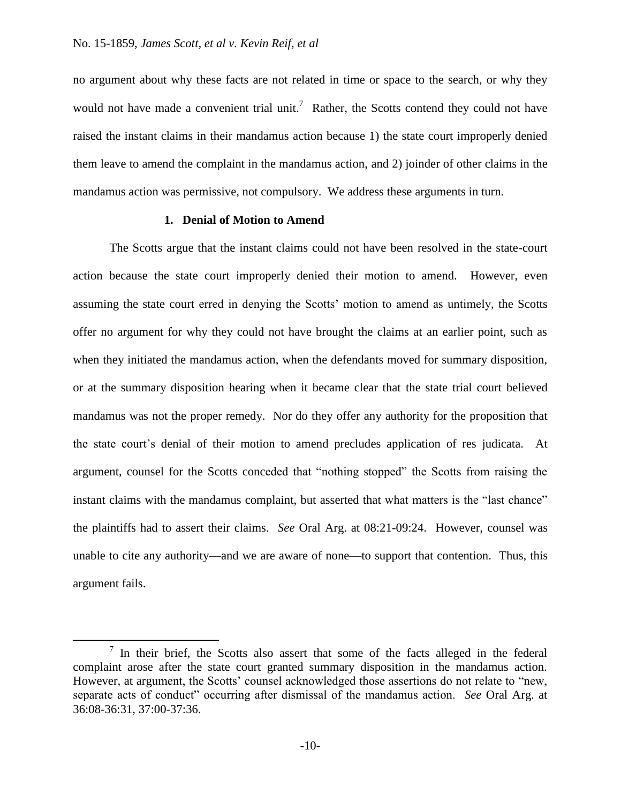$\overline{a}$ 

no argument about why these facts are not related in time or space to the search, or why they would not have made a convenient trial unit.<sup>7</sup> Rather, the Scotts contend they could not have raised the instant claims in their mandamus action because 1) the state court improperly denied them leave to amend the complaint in the mandamus action, and 2) joinder of other claims in the mandamus action was permissive, not compulsory. We address these arguments in turn.

### **1. Denial of Motion to Amend**

The Scotts argue that the instant claims could not have been resolved in the state-court action because the state court improperly denied their motion to amend. However, even assuming the state court erred in denying the Scotts' motion to amend as untimely, the Scotts offer no argument for why they could not have brought the claims at an earlier point, such as when they initiated the mandamus action, when the defendants moved for summary disposition, or at the summary disposition hearing when it became clear that the state trial court believed mandamus was not the proper remedy. Nor do they offer any authority for the proposition that the state court's denial of their motion to amend precludes application of res judicata. At argument, counsel for the Scotts conceded that "nothing stopped" the Scotts from raising the instant claims with the mandamus complaint, but asserted that what matters is the "last chance" the plaintiffs had to assert their claims. *See* Oral Arg. at 08:21-09:24. However, counsel was unable to cite any authority—and we are aware of none—to support that contention. Thus, this argument fails.

 $7$  In their brief, the Scotts also assert that some of the facts alleged in the federal complaint arose after the state court granted summary disposition in the mandamus action. However, at argument, the Scotts' counsel acknowledged those assertions do not relate to "new, separate acts of conduct" occurring after dismissal of the mandamus action. *See* Oral Arg. at 36:08-36:31, 37:00-37:36.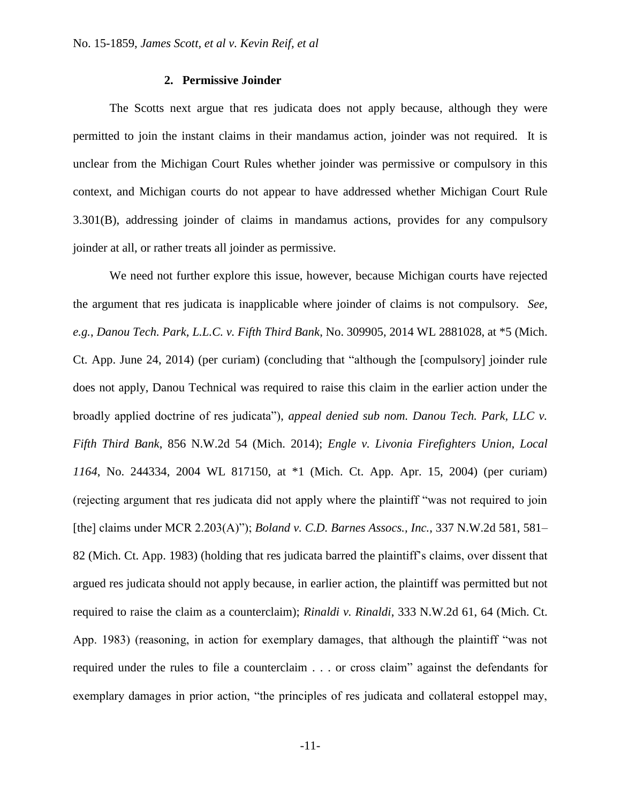## **2. Permissive Joinder**

The Scotts next argue that res judicata does not apply because, although they were permitted to join the instant claims in their mandamus action, joinder was not required. It is unclear from the Michigan Court Rules whether joinder was permissive or compulsory in this context, and Michigan courts do not appear to have addressed whether Michigan Court Rule 3.301(B), addressing joinder of claims in mandamus actions, provides for any compulsory joinder at all, or rather treats all joinder as permissive.

We need not further explore this issue, however, because Michigan courts have rejected the argument that res judicata is inapplicable where joinder of claims is not compulsory. *See, e.g.*, *Danou Tech. Park, L.L.C. v. Fifth Third Bank*, No. 309905, 2014 WL 2881028, at \*5 (Mich. Ct. App. June 24, 2014) (per curiam) (concluding that "although the [compulsory] joinder rule does not apply, Danou Technical was required to raise this claim in the earlier action under the broadly applied doctrine of res judicata"), *appeal denied sub nom. Danou Tech. Park, LLC v. Fifth Third Bank*, 856 N.W.2d 54 (Mich. 2014); *Engle v. Livonia Firefighters Union, Local 1164*, No. 244334, 2004 WL 817150, at \*1 (Mich. Ct. App. Apr. 15, 2004) (per curiam) (rejecting argument that res judicata did not apply where the plaintiff "was not required to join [the] claims under MCR 2.203(A)"); *Boland v. C.D. Barnes Assocs., Inc.*, 337 N.W.2d 581, 581– 82 (Mich. Ct. App. 1983) (holding that res judicata barred the plaintiff's claims, over dissent that argued res judicata should not apply because, in earlier action, the plaintiff was permitted but not required to raise the claim as a counterclaim); *Rinaldi v. Rinaldi*, 333 N.W.2d 61, 64 (Mich. Ct. App. 1983) (reasoning, in action for exemplary damages, that although the plaintiff "was not required under the rules to file a counterclaim . . . or cross claim" against the defendants for exemplary damages in prior action, "the principles of res judicata and collateral estoppel may,